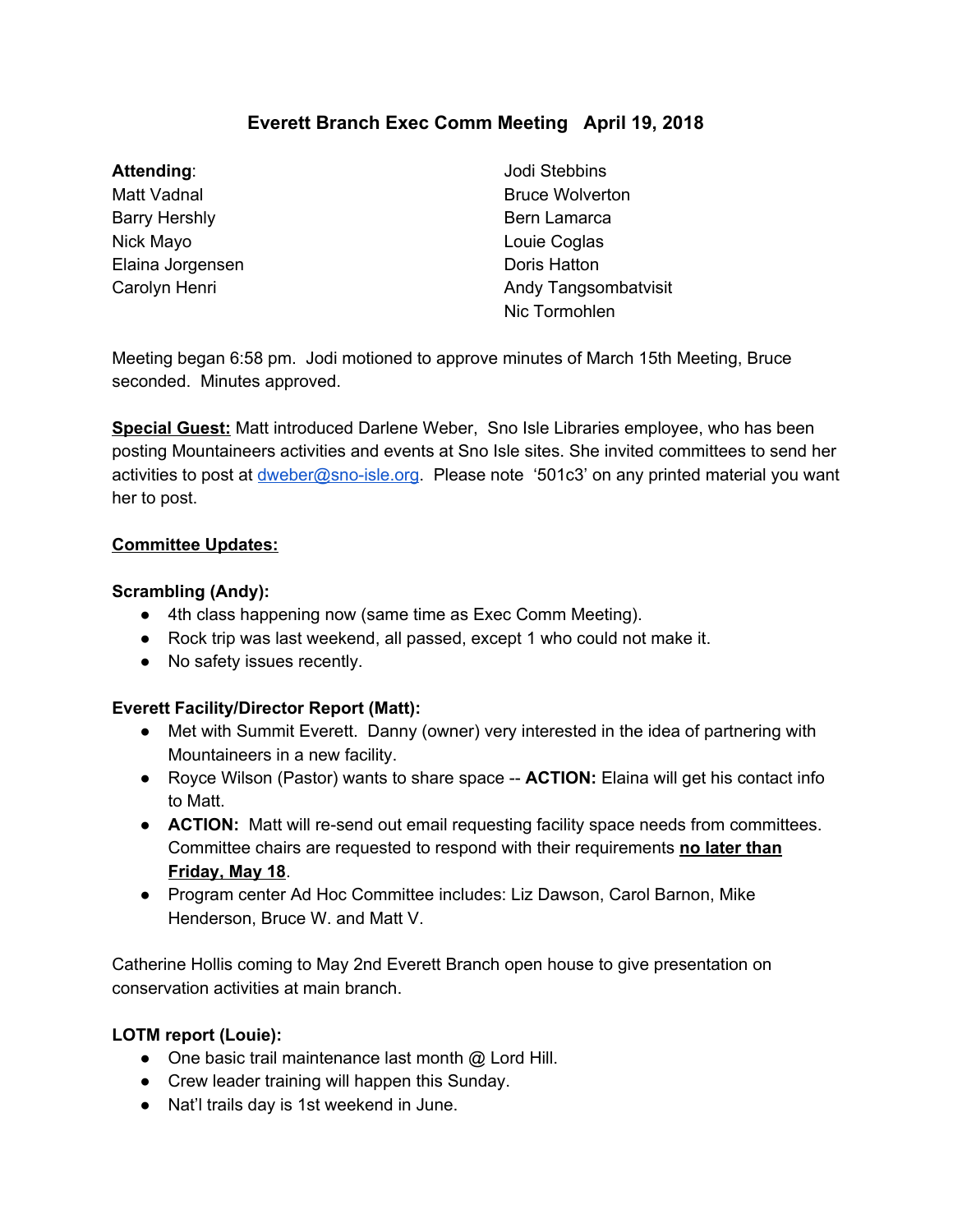# **Everett Branch Exec Comm Meeting April 19, 2018**

## **Attending**:

Matt Vadnal Barry Hershly Nick Mayo Elaina Jorgensen Carolyn Henri

Jodi Stebbins Bruce Wolverton Bern Lamarca Louie Coglas Doris Hatton Andy Tangsombatvisit Nic Tormohlen

Meeting began 6:58 pm. Jodi motioned to approve minutes of March 15th Meeting, Bruce seconded. Minutes approved.

**Special Guest:** Matt introduced Darlene Weber, Sno Isle Libraries employee, who has been posting Mountaineers activities and events at Sno Isle sites. She invited committees to send her activities to post at *[dweber@sno-isle.org](mailto:dweber@sno-isle.org)*. Please note '501c3' on any printed material you want her to post.

#### **Committee Updates:**

#### **Scrambling (Andy):**

- 4th class happening now (same time as Exec Comm Meeting).
- Rock trip was last weekend, all passed, except 1 who could not make it.
- No safety issues recently.

## **Everett Facility/Director Report (Matt):**

- Met with Summit Everett. Danny (owner) very interested in the idea of partnering with Mountaineers in a new facility.
- Royce Wilson (Pastor) wants to share space -- **ACTION:** Elaina will get his contact info to Matt.
- **ACTION:** Matt will re-send out email requesting facility space needs from committees. Committee chairs are requested to respond with their requirements **no later than Friday, May 18**.
- Program center Ad Hoc Committee includes: Liz Dawson, Carol Barnon, Mike Henderson, Bruce W. and Matt V.

Catherine Hollis coming to May 2nd Everett Branch open house to give presentation on conservation activities at main branch.

## **LOTM report (Louie):**

- One basic trail maintenance last month @ Lord Hill.
- Crew leader training will happen this Sunday.
- Nat'l trails day is 1st weekend in June.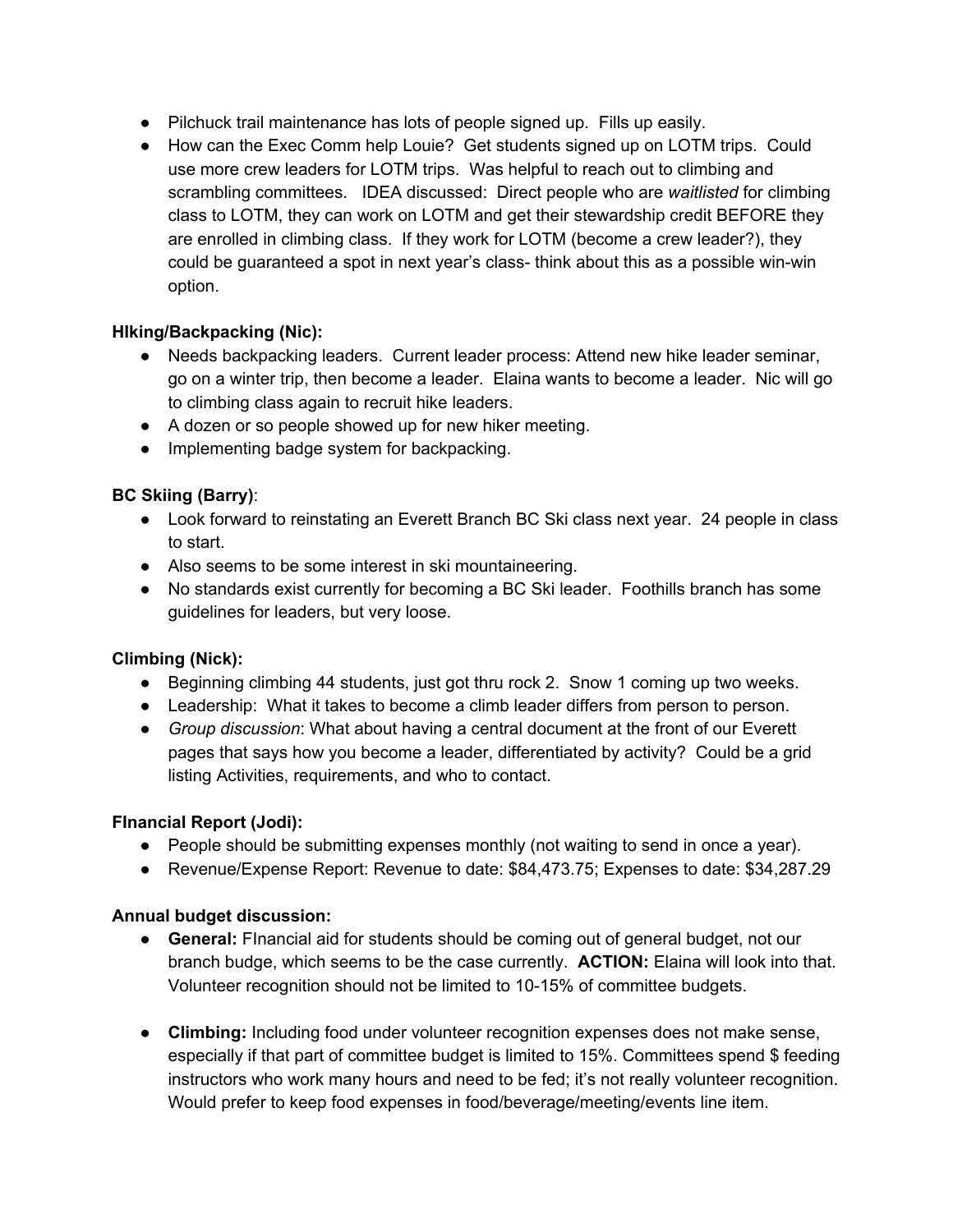- Pilchuck trail maintenance has lots of people signed up. Fills up easily.
- How can the Exec Comm help Louie? Get students signed up on LOTM trips. Could use more crew leaders for LOTM trips. Was helpful to reach out to climbing and scrambling committees. IDEA discussed: Direct people who are *waitlisted* for climbing class to LOTM, they can work on LOTM and get their stewardship credit BEFORE they are enrolled in climbing class. If they work for LOTM (become a crew leader?), they could be guaranteed a spot in next year's class- think about this as a possible win-win option.

## **HIking/Backpacking (Nic):**

- Needs backpacking leaders. Current leader process: Attend new hike leader seminar, go on a winter trip, then become a leader. Elaina wants to become a leader. Nic will go to climbing class again to recruit hike leaders.
- A dozen or so people showed up for new hiker meeting.
- Implementing badge system for backpacking.

## **BC Skiing (Barry)**:

- Look forward to reinstating an Everett Branch BC Ski class next year. 24 people in class to start.
- Also seems to be some interest in ski mountaineering.
- No standards exist currently for becoming a BC Ski leader. Foothills branch has some guidelines for leaders, but very loose.

## **Climbing (Nick):**

- Beginning climbing 44 students, just got thru rock 2. Snow 1 coming up two weeks.
- Leadership: What it takes to become a climb leader differs from person to person.
- *Group discussion*: What about having a central document at the front of our Everett pages that says how you become a leader, differentiated by activity? Could be a grid listing Activities, requirements, and who to contact.

## **FInancial Report (Jodi):**

- People should be submitting expenses monthly (not waiting to send in once a year).
- Revenue/Expense Report: Revenue to date: \$84,473.75; Expenses to date: \$34,287.29

## **Annual budget discussion:**

- **General:** FInancial aid for students should be coming out of general budget, not our branch budge, which seems to be the case currently. **ACTION:** Elaina will look into that. Volunteer recognition should not be limited to 10-15% of committee budgets.
- **Climbing:** Including food under volunteer recognition expenses does not make sense, especially if that part of committee budget is limited to 15%. Committees spend \$ feeding instructors who work many hours and need to be fed; it's not really volunteer recognition. Would prefer to keep food expenses in food/beverage/meeting/events line item.